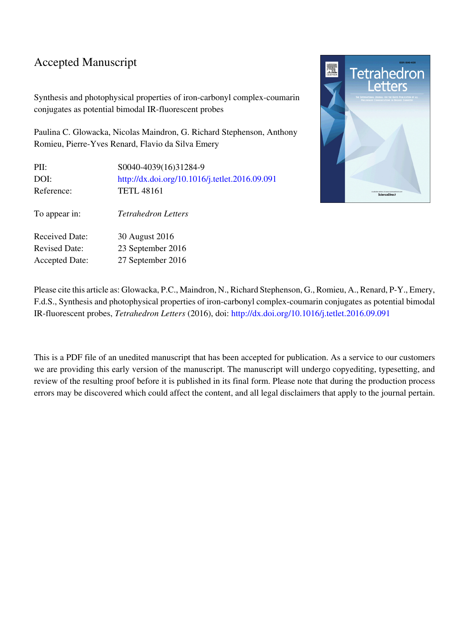### Accepted Manuscript

Synthesis and photophysical properties of iron-carbonyl complex-coumarin conjugates as potential bimodal IR-fluorescent probes

Paulina C. Glowacka, Nicolas Maindron, G. Richard Stephenson, Anthony Romieu, Pierre-Yves Renard, Flavio da Silva Emery

| PII:<br>DOI:          | \$0040-4039(16)31284-9<br>http://dx.doi.org/10.1016/j.tetlet.2016.09.091 |
|-----------------------|--------------------------------------------------------------------------|
| Reference:            | <b>TETL 48161</b>                                                        |
| To appear in:         | <b>Tetrahedron Letters</b>                                               |
| <b>Received Date:</b> | 30 August 2016                                                           |
| <b>Revised Date:</b>  | 23 September 2016                                                        |
| <b>Accepted Date:</b> | 27 September 2016                                                        |



Please cite this article as: Glowacka, P.C., Maindron, N., Richard Stephenson, G., Romieu, A., Renard, P-Y., Emery, F.d.S., Synthesis and photophysical properties of iron-carbonyl complex-coumarin conjugates as potential bimodal IR-fluorescent probes, Tetrahedron Letters (2016), doi:<http://dx.doi.org/10.1016/j.tetlet.2016.09.091>

This is a PDF file of an unedited manuscript that has been accepted for publication. As a service to our customers we are providing this early version of the manuscript. The manuscript will undergo copyediting, typesetting, and review of the resulting proof before it is published in its final form. Please note that during the production process errors may be discovered which could affect the content, and all legal disclaimers that apply to the journal pertain.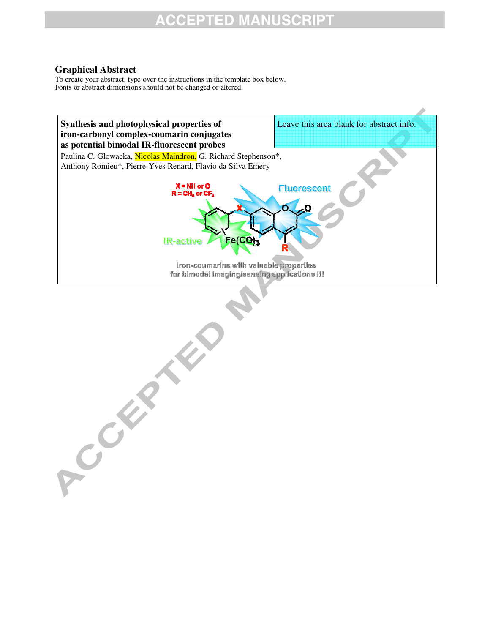### **ACCEPTED MANUSCRIPT**

#### **Graphical Abstract**

A CONSTRUCTION

To create your abstract, type over the instructions in the template box below. Fonts or abstract dimensions should not be changed or altered.

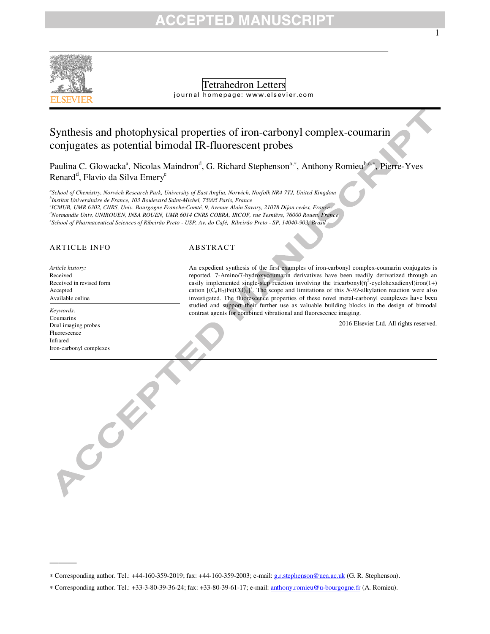### CCEPTED MANU



Tetrahedron Letters

journal homepage: www.elsevier.com

### Synthesis and photophysical properties of iron-carbonyl complex-coumarin conjugates as potential bimodal IR-fluorescent probes

Paulina C. Glowacka<sup>a</sup>, Nicolas Maindron<sup>d</sup>, G. Richard Stephenson<sup>a,∗</sup>, Anthony Romieu<sup>b,c,∗</sup>, Pierre-Yves Renard<sup>d</sup>, Flavio da Silva Emery<sup>e</sup>

*a School of Chemistry, Norwich Research Park, University of East Anglia, Norwich, Norfolk NR4 7TJ, United Kingdom b Institut Universitaire de France, 103 Boulevard Saint-Michel, 75005 Paris, France c ICMUB, UMR 6302, CNRS, Univ. Bourgogne Franche-Comté, 9, Avenue Alain Savary, 21078 Dijon cedex, France <sup>d</sup>Normandie Univ, UNIROUEN, INSA ROUEN, UMR 6014 CNRS COBRA, IRCOF, rue Tesnière, 76000 Rouen, France* 

*e School of Pharmaceutical Sciences of Ribeirão Preto - USP, Av. do Café, Ribeirão Preto - SP, 14040-903, Brasil* 

#### ARTICLE INFO ABSTRACT

Received in revised form

*Article history:* Received

Accepted Available online

An expedient synthesis of the first examples of iron-carbonyl complex-coumarin conjugates is reported. 7-Amino/7-hydroxycoumarin derivatives have been readily derivatized through an easily implemented single-step reaction involving the tricarbonyl( $\eta^5$ -cyclohexadienyl)iron(1+) cation  $[(C_6H_7)Fe(CO)_3]^+$ . The scope and limitations of this *N-IO*-alkylation reaction were also investigated. The fluorescence properties of these novel metal-carbonyl complexes have been studied and support their further use as valuable building blocks in the design of bimodal contrast agents for combined vibrational and fluorescence imaging.

2016 Elsevier Ltd. All rights reserved.

1

*Keywords:* Coumarins Dual imaging probes Fluorescence Infrared

Iron-carbonyl complexes

ACCEPTE

———

∗ Corresponding author. Tel.: +44-160-359-2019; fax: +44-160-359-2003; e-mail: g.r.stephenson@uea.ac.uk (G. R. Stephenson).

<sup>∗</sup> Corresponding author. Tel.: +33-3-80-39-36-24; fax: +33-80-39-61-17; e-mail: anthony.romieu@u-bourgogne.fr (A. Romieu).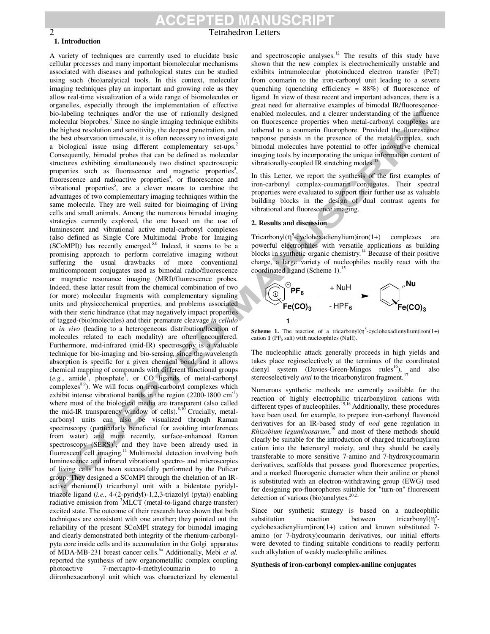# 2 Tetrahedron Letters

#### **1. Introduction**

A variety of techniques are currently used to elucidate basic cellular processes and many important biomolecular mechanisms associated with diseases and pathological states can be studied using such (bio)analytical tools. In this context, molecular imaging techniques play an important and growing role as they allow real-time visualization of a wide range of biomolecules or organelles, especially through the implementation of effective bio-labeling techniques and/or the use of rationally designed molecular bioprobes.<sup>1</sup> Since no single imaging technique exhibits the highest resolution and sensitivity, the deepest penetration, and the best observation timescale, it is often necessary to investigate a biological issue using different complementary set-ups.<sup>2</sup> Consequently, bimodal probes that can be defined as molecular structures exhibiting simultaneously two distinct spectroscopic properties such as fluorescence and magnetic properties<sup>3</sup>, fluorescence and radioactive properties<sup>4</sup>, or fluorescence and vibrational properties<sup>5</sup>, are a clever means to combine the advantages of two complementary imaging techniques within the same molecule. They are well suited for bioimaging of living cells and small animals. Among the numerous bimodal imaging strategies currently explored, the one based on the use of luminescent and vibrational active metal-carbonyl complexes (also defined as Single Core Multimodal Probe for Imaging (SCoMPI)) has recently emerged.<sup>5,6</sup> Indeed, it seems to be a promising approach to perform correlative imaging without suffering the usual drawbacks of more conventional multicomponent conjugates used as bimodal radio/fluorescence or magnetic resonance imaging (MRI)/fluorescence probes. Indeed, these latter result from the chemical combination of two (or more) molecular fragments with complementary signaling units and physicochemical properties, and problems associated with their steric hindrance (that may negatively impact properties of tagged-(bio)molecules) and their premature cleavage *in cellulo* or *in vivo* (leading to a heterogeneous distribution/location of molecules related to each modality) are often encountered. Furthermore, mid-infrared (mid-IR) spectroscopy is a valuable technique for bio-imaging and bio-sensing, since the wavelength absorption is specific for a given chemical bond, and it allows chemical mapping of compounds with different functional groups  $(e.g., amide<sup>7</sup>, phosphate<sup>7</sup>, or CO ligands of metal-carbonyl$  $complexes<sup>8,9</sup>$ ). We will focus on iron-carbonyl complexes which exhibit intense vibrational bands in the region  $(2200-1800 \text{ cm}^3)$ where most of the biological media are transparent (also called the mid-IR transparency window of cells).<sup>8,10</sup> Crucially, metalcarbonyl units can also be visualized through Raman spectroscopy (particularly beneficial for avoiding interferences from water) and more recently, surface-enhanced Raman spectroscopy (SERS)<sup>8</sup>, and they have been already used in fluorescent cell imaging.<sup>11</sup> Multimodal detection involving both luminescence and infrared vibrational spectro- and microscopies of living cells has been successfully performed by the Policar group. They designed a SCoMPI through the chelation of an IRactive rhenium(I) tricarbonyl unit with a bidentate pyridyltriazole ligand (*i.e.*, 4-(2-pyridyl)-1,2,3-triazolyl (pyta)) enabling radiative emission from <sup>3</sup>MLCT (metal-to-ligand charge transfer) excited state. The outcome of their research have shown that both techniques are consistent with one another; they pointed out the reliability of the present SCoMPI strategy for bimodal imaging and clearly demonstrated both integrity of the rhenium-carbonylpyta core inside cells and its accumulation in the Golgi apparatus of MDA-MB-231 breast cancer cells.<sup>6a</sup> Additionally, Mebi *et al.* reported the synthesis of new organometallic complex coupling photoactive 7-mercapto-4-methylcoumarin to a diironhexacarbonyl unit which was characterized by elemental

and spectroscopic analyses.<sup>12</sup> The results of this study have shown that the new complex is electrochemically unstable and exhibits intramolecular photoinduced electron transfer (PeT) from coumarin to the iron-carbonyl unit leading to a severe quenching (quenching efficiency  $= 88\%$ ) of fluorescence of ligand. In view of these recent and important advances, there is a great need for alternative examples of bimodal IR/fluorescenceenabled molecules, and a clearer understanding of the influence on fluorescence properties when metal-carbonyl complexes are tethered to a coumarin fluorophore. Provided the fluorescence response persists in the presence of the metal complex, such bimodal molecules have potential to offer innovative chemical imaging tools by incorporating the unique information content of vibrationally-coupled IR stretching modes.<sup>13</sup>

In this Letter, we report the synthesis of the first examples of iron-carbonyl complex-coumarin conjugates. Their spectral properties were evaluated to support their further use as valuable building blocks in the design of dual contrast agents for vibrational and fluorescence imaging.

#### **2. Results and discussion**

Tricarbonyl $(\eta^5$ -cyclohexadienylium)iron(1+) complexes are powerful electrophiles with versatile applications as building blocks in synthetic organic chemistry.<sup>14</sup> Because of their positive charge, a large variety of nucleophiles readily react with the coordinated ligand (Scheme 1).<sup>15</sup>



**Scheme 1.** The reaction of a tricarbonyl $(\eta^5$ -cyclohexadienylium)iron(1+) cation 1 (PF<sub>6</sub> salt) with nucleophiles (NuH).

The nucleophilic attack generally proceeds in high yields and takes place regioselectively at the terminus of the coordinated dienyl system (Davies-Green-Mingos rules<sup>16</sup>), and also stereoselectively *anti* to the tricarbonyliron fragment.

Numerous synthetic methods are currently available for the reaction of highly electrophilic tricarbonyliron cations with different types of nucleophiles.<sup>15,18</sup> Additionally, these procedures have been used, for example, to prepare iron-carbonyl flavonoid derivatives for an IR-based study of *nod* gene regulation in *Rhizobium leguminosarum*, <sup>19</sup> and most of these methods should clearly be suitable for the introduction of charged tricarbonyliron cation into the heteroaryl moiety, and they should be easily transferable to more sensitive 7-amino and 7-hydroxycoumarin derivatives, scaffolds that possess good fluorescence properties, and a marked fluorogenic character when their aniline or phenol is substituted with an electron-withdrawing group (EWG) used for designing pro-fluorophores suitable for "turn-on" fluorescent detection of various (bio)analytes.<sup>20,21</sup>

Since our synthetic strategy is based on a nucleophilic substitution reaction between tricarbonyl $(\eta^5$ cyclohexadienylium)iron(1+) cation and known substituted 7 amino (or 7-hydroxy)coumarin derivatives, our initial efforts were devoted to finding suitable conditions to readily perform such alkylation of weakly nucleophilic anilines.

#### **Synthesis of iron-carbonyl complex-aniline conjugates**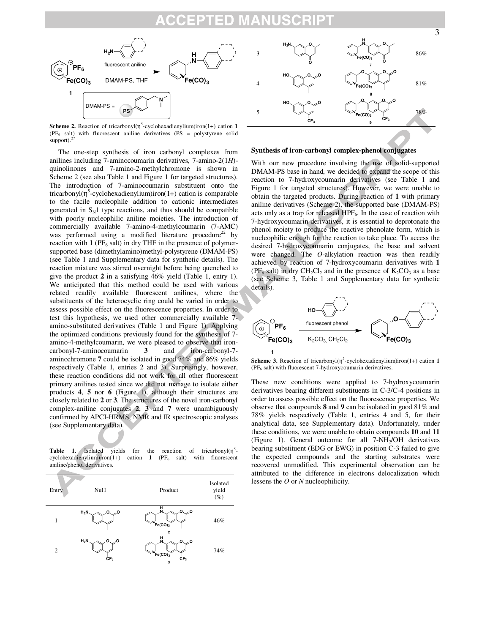

**Scheme 2.** Reaction of tricarbonyl $(\eta^5$ -cyclohexadienylium)iron(1+) cation 1 ( $PF_6$  salt) with fluorescent aniline derivatives ( $PS =$  polystyrene solid support). $^{2}$ 

The one-step synthesis of iron carbonyl complexes from anilines including 7-aminocoumarin derivatives, 7-amino-2(1*H*) quinolinones and 7-amino-2-methylchromone is shown in Scheme 2 (see also Table 1 and Figure 1 for targeted structures). The introduction of 7-aminocoumarin substituent onto the tricarbonyl $(\eta^5$ -cyclohexadienylium)iron(1+) cation is comparable to the facile nucleophile addition to cationic intermediates generated in  $S_N1$  type reactions, and thus should be compatible with poorly nucleophilic aniline moieties. The introduction of commercially available 7-amino-4-methylcoumarin (7-AMC) was performed using a modified literature procedure<sup>22</sup> by reaction with  $1$  (PF<sub>6</sub> salt) in dry THF in the presence of polymersupported base (dimethylamino)methyl-polystyrene (DMAM-PS) (see Table 1 and Supplementary data for synthetic details). The reaction mixture was stirred overnight before being quenched to give the product **2** in a satisfying 46% yield (Table 1, entry 1). We anticipated that this method could be used with various related readily available fluorescent anilines, where the substituents of the heterocyclic ring could be varied in order to assess possible effect on the fluorescence properties. In order to test this hypothesis, we used other commercially available 7 amino-substituted derivatives (Table 1 and Figure 1). Applying the optimized conditions previously found for the synthesis of 7 amino-4-methylcoumarin, we were pleased to observe that ironcarbonyl-7-aminocoumarin **3** and iron-carbonyl-7 aminochromone **7** could be isolated in good 74% and 86% yields respectively (Table 1, entries 2 and 3). Surprisingly, however, these reaction conditions did not work for all other fluorescent primary anilines tested since we did not manage to isolate either products **4**, **5** nor **6** (Figure 1), although their structures are closely related to **2** or **3**. The structures of the novel iron-carbonyl complex-aniline conjugates **2**, **3** and **7** were unambiguously confirmed by APCI-HRMS, NMR and IR spectroscopic analyses (see Supplementary data).

Table 1. Isolated yields for the reaction of tricarbonyl(n<sup>5</sup>cyclohexadienylium)iron(1+) cation **1** (PF<sub>6</sub> salt) with fluorescent aniline/phenol derivatives.





#### **Synthesis of iron-carbonyl complex-phenol conjugates**

With our new procedure involving the use of solid-supported DMAM-PS base in hand, we decided to expand the scope of this reaction to 7-hydroxycoumarin derivatives (see Table 1 and Figure 1 for targeted structures). However, we were unable to obtain the targeted products. During reaction of **1** with primary aniline derivatives (Scheme 2), the supported base (DMAM-PS) acts only as a trap for released  $HPF_6$ . In the case of reaction with 7-hydroxycoumarin derivatives, it is essential to deprotonate the phenol moiety to produce the reactive phenolate form, which is nucleophilic enough for the reaction to take place. To access the desired 7-hydroxycoumarin conjugates, the base and solvent were changed. The *O*-alkylation reaction was then readily achieved by reaction of 7-hydroxycoumarin derivatives with **1** ( $PF_6$  salt) in dry  $CH_2Cl_2$  and in the presence of  $K_2CO_3$  as a base (see Scheme 3, Table 1 and Supplementary data for synthetic details).



**Scheme 3.** Reaction of tricarbonyl $(\eta^5$ -cyclohexadienylium)iron(1+) cation 1 ( $PF<sub>6</sub>$  salt) with fluorescent 7-hydroxycoumarin derivatives.

These new conditions were applied to 7-hydroxycoumarin derivatives bearing different substituents in C-3/C-4 positions in order to assess possible effect on the fluorescence properties. We observe that compounds **8** and **9** can be isolated in good 81% and 78% yields respectively (Table 1, entries 4 and 5, for their analytical data, see Supplementary data). Unfortunately, under these conditions, we were unable to obtain compounds **10** and **11**  (Figure 1). General outcome for all 7-NH<sup>2</sup> /OH derivatives bearing substituent (EDG or EWG) in position C-3 failed to give the expected compounds and the starting substrates were recovered unmodified. This experimental observation can be attributed to the difference in electrons delocalization which lessens the *O* or *N* nucleophilicity.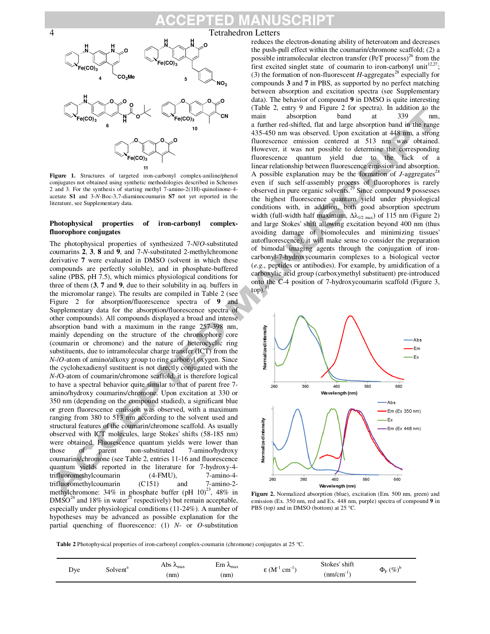#### ISCRI ۵D



Figure 1. Structures of targeted iron-carbonyl complex-aniline/phenol conjugates not obtained using synthetic methodologies described in Schemes 2 and 3. For the synthesis of starting methyl 7-amino-2(1H)-quinolinone-4 acetate **S1** and 3-*N*-Boc-3,7-diaminocoumarin **S7** not yet reported in the literature, see Supplementary data.

#### **Photophysical properties of iron-carbonyl complexfluorophore conjugates**

The photophysical properties of synthesized 7-*N*/*O*-substituted coumarins **2**, **3**, **8** and **9**, and 7-*N*-substituted 2-methylchromone derivative **7** were evaluated in DMSO (solvent in which these compounds are perfectly soluble), and in phosphate-buffered saline (PBS, pH 7.5), which mimics physiological conditions for three of them (**3**, **7** and **9**, due to their solubility in aq. buffers in the micromolar range). The results are compiled in Table 2 (see Figure 2 for absorption/fluorescence spectra of **9** and Supplementary data for the absorption/fluorescence spectra of other compounds). All compounds displayed a broad and intense absorption band with a maximum in the range 257-398 nm, mainly depending on the structure of the chromophore core (coumarin or chromone) and the nature of heterocyclic ring substituents, due to intramolecular charge transfer (ICT) from the *N*-/*O*-atom of amino/alkoxy group to ring carbonyl oxygen. Since the cyclohexadienyl sustituent is not directly conjugated with the *N*-/O-atom of coumarin/chromone scaffold, it is therefore logical to have a spectral behavior quite similar to that of parent free 7 amino/hydroxy coumarins/chromone. Upon excitation at 330 or 350 nm (depending on the compound studied), a significant blue or green fluorescence emission was observed, with a maximum ranging from 380 to 513 nm according to the solvent used and structural features of the coumarin/chromone scaffold. As usually observed with ICT molecules, large Stokes' shifts (58-185 nm) were obtained. Fluorescence quantum yields were lower than those of parent non-substituted 7-amino/hydroxy coumarins/chromone (see Table 2, entries 11-16 and fluorescence quantum yields reported in the literature for 7-hydroxy-4 trifluoromethylcoumarin (4-FMU), 7-amino-4 trifluoromethylcoumarin (C151) and 7-amino-2 methylchromone: 34% in phosphate buffer (pH  $10)^{23}$ , 48% in  $DMSO<sup>24</sup>$  and 18% in water<sup>25</sup> respectively) but remain acceptable, especially under physiological conditions (11-24%). A number of hypotheses may be advanced as possible explanation for the partial quenching of fluorescence: (1) *N*- or *O*-substitution

#### 4 Tetrahedron Letters

reduces the electron-donating ability of heteroatom and decreases the push-pull effect within the coumarin/chromone scaffold; (2) a possible intramolecular electron transfer (PeT process)<sup>26</sup> from the first excited singlet state of coumarin to iron-carbonyl unit<sup>12,27</sup>; (3) the formation of non-fluorescent  $H$ -aggregates<sup>28</sup> especially for compounds **3** and **7** in PBS, as supported by no perfect matching between absorption and excitation spectra (see Supplementary data). The behavior of compound **9** in DMSO is quite interesting (Table 2, entry 9 and Figure 2 for spectra). In addition to the main absorption band at 339 nm, a further red-shifted, flat and large absorption band in the range 435-450 nm was observed. Upon excitation at 448 nm, a strong fluorescence emission centered at 513 nm was obtained. However, it was not possible to determine the corresponding fluorescence quantum yield due to the lack of a linear relationship between fluorescence emission and absorption. A possible explanation may be the formation of  $J$ -aggregates<sup>28</sup> even if such self-assembly process of fluorophores is rarely observed in pure organic solvents.<sup>29</sup> Since compound **9** possesses the highest fluorescence quantum yield under physiological conditions with, in addition, both good absorption spectrum width (full-width half maximum,  $\Delta\lambda_{1/2 \text{ max}}$ ) of 115 nm (Figure 2) and large Stokes' shift allowing excitation beyond 400 nm (thus avoiding damage of biomolecules and minimizing tissues' autofluorescence), it will make sense to consider the preparation of bimodal imaging agents through the conjugation of ironcarbonyl-7-hydroxycoumarin complexes to a biological vector (*e.g.*, peptides or antibodies). For example, by amidification of a carboxylic acid group (carboxymethyl substituent) pre-introduced onto the C-4 position of 7-hydroxycoumarin scaffold (Figure 3,  $top).$ <sup>31</sup>



**Figure 2.** Normalized absorption (blue), excitation (Em. 500 nm, green) and emission (Ex. 350 nm, red and Ex. 448 nm, purple) spectra of compound **9** in PBS (top) and in DMSO (bottom) at 25 °C.

**Table 2** Photophysical properties of iron-carbonyl complex-coumarin (chromone) conjugates at 25 °C.

| Dye<br>Solvent <sup>a</sup> | Abs<br>$\lambda_{\text{max}}$<br>(nm) | -<br>Еm<br>$\lambda_{\text{max}}$<br>(mm | . $(M^{-1})$<br>. .<br>$cm$ <sup>-</sup> | Stokes' shift<br>- -<br>$(mm/cm^{-1})$ | $\Phi_{\rm E}$ $(\%)^{\rm b}$ |
|-----------------------------|---------------------------------------|------------------------------------------|------------------------------------------|----------------------------------------|-------------------------------|
|-----------------------------|---------------------------------------|------------------------------------------|------------------------------------------|----------------------------------------|-------------------------------|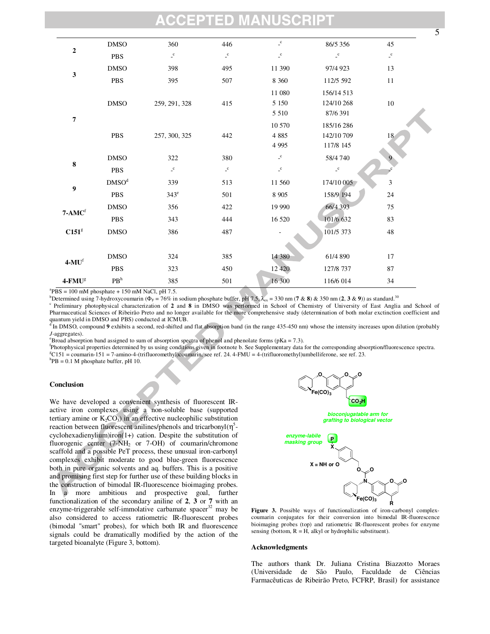### ED)

|                       | <b>DMSO</b>       | 360                                | 446          | $\_^{\mathrm{c}}$                       | 86/5 356                | 45                      |
|-----------------------|-------------------|------------------------------------|--------------|-----------------------------------------|-------------------------|-------------------------|
| $\bf 2$               | <b>PBS</b>        | $\lrcorner^{\rm c}$                | $\mathbf{c}$ | $\mathbf{C}$                            | $\char`_\mathbf{c}$     | $\mathsf{L}^\mathsf{C}$ |
| $\mathbf{3}$          | <b>DMSO</b>       | 398                                | 495          | 11 390                                  | 97/4 923                | 13                      |
|                       | PBS               | 395                                | 507          | 8 3 6 0                                 | 112/5 592               | 11                      |
|                       |                   |                                    |              | 11 080                                  | 156/14 513              |                         |
|                       | <b>DMSO</b>       | 259, 291, 328                      | 415          | 5 1 5 0                                 | 124/10 268              | $10\,$                  |
| $\overline{7}$        |                   |                                    | 5 5 1 0      | 87/6 391                                |                         |                         |
|                       |                   |                                    |              | 10 570                                  | 185/16 286              |                         |
|                       | PBS               | 257, 300, 325                      | 442          | 4 8 8 5                                 | 142/10 709              | 18                      |
|                       |                   |                                    | 4 9 9 5      | 117/8 145                               |                         |                         |
| $\bf 8$               | <b>DMSO</b>       | 322                                | 380          | $\mathcal{L}^{\mathbf{C}}$              | 58/4 740                |                         |
|                       | <b>PBS</b>        | $\char`_{\mathsf{c}}^{\mathsf{c}}$ | $\mathbf{c}$ | $\mathrel{\mathop{\text{-}}\mathbf{c}}$ | $\mathsf{L}^\mathsf{C}$ |                         |
| $\boldsymbol{9}$      | DMSO <sup>d</sup> | 339                                | 513          | 11 560                                  | 174/10 005              | $\mathfrak{Z}$          |
|                       | <b>PBS</b>        | $343^e$                            | 501          | 8 9 0 5                                 | 158/9 194               | $24\,$                  |
| $7 - AMCf$            | <b>DMSO</b>       | 356                                | 422          | 19 990                                  | 66/4 393                | $75\,$                  |
|                       | <b>PBS</b>        | 343                                | 444          | 16 5 20                                 | 101/6 632               | 83                      |
| C151 <sup>g</sup>     | <b>DMSO</b>       | 386                                | 487          |                                         | 101/5 373               | 48                      |
|                       |                   |                                    |              |                                         |                         |                         |
| $4-MUf$               | <b>DMSO</b>       | 324                                | 385          | 14 380                                  | 61/4 890                | 17                      |
|                       | <b>PBS</b>        | 323                                | 450          | 12 4 20                                 | 127/8 737               | 87                      |
| $4$ -FMU <sup>g</sup> | PB <sup>h</sup>   | 385                                | 501          | 16 300                                  | 116/6 014               | 34                      |

 ${}^{a}$ PBS = 100 mM phosphate + 150 mM NaCl, pH 7.5.

<sup>b</sup>Determined using 7-hydroxycoumarin ( $\Phi_F = 76\%$  in sodium phosphate buffer, pH 7.5,  $\lambda_{ex} = 330$  nm (7 & **8**) & 350 nm (2, 3 & 9)) as standard.<sup>30</sup>

<sup>c</sup> Preliminary photophysical characterization of 2 and 8 in DMSO was performed in School of Chemistry of University of East Anglia and School of Pharmaceutical Sciences of Ribeirão Preto and no longer available for the more comprehensive study (determination of both molar exctinction coefficient and

quantum yield in DMSO and PBS) conducted at ICMUB.<br><sup>d</sup> In DMSO, compound **9** exhibits a second, red-shifted and flat absorption band (in the range 435-450 nm) whose the intensity increases upon dilution (probably *J*-aggregates).

<sup>e</sup>Broad absorption band assigned to sum of absorption spectra of phenol and phenolate forms (pKa = 7.3).

f Photophysical properties determined by us using conditions given in footnote b. See Supplementary data for the corresponding absorption/fluorescence spectra.  ${}^gC151$  = coumarin-151 = 7-amino-4-(trifluoromethyl)coumarin, see ref. 24. 4-FMU = 4-(trifluoromethyl)umbelliferone, see ref. 23.

 ${}^{h}$ PB = 0.1 M phosphate buffer, pH 10.

#### **Conclusion**

We have developed a convenient synthesis of fluorescent IRactive iron complexes using a non-soluble base (supported tertiary amine or  $K_2CO_3$ ) in an effective nucleophilic substitution reaction between fluorescent anilines/phenols and tricarbonyl $(\eta^5)$ cyclohexadienylium)iron(1+) cation. Despite the substitution of fluorogenic center  $(7-NH_2 \text{ or } 7-OH)$  of coumarin/chromone scaffold and a possible PeT process, these unusual iron-carbonyl complexes exhibit moderate to good blue-green fluorescence both in pure organic solvents and aq. buffers. This is a positive and promising first step for further use of these building blocks in the construction of bimodal IR-fluorescence bioimaging probes. In a more ambitious and prospective goal, further functionalization of the secondary aniline of **2**, **3** or **7** with an enzyme-triggerable self-immolative carbamate spacer $32$  may be also considered to access ratiometric IR-fluorescent probes (bimodal "smart" probes), for which both IR and fluorescence signals could be dramatically modified by the action of the targeted bioanalyte (Figure 3, bottom).



**Figure 3.** Possible ways of functionalization of iron-carbonyl complexcoumarin conjugates for their conversion into bimodal IR-fluorescence bioimaging probes (top) and ratiometric IR-fluorescent probes for enzyme sensing (bottom,  $R = H$ , alkyl or hydrophilic substituent).

#### **Acknowledgments**

The authors thank Dr. Juliana Cristina Biazzotto Moraes (Universidade de São Paulo, Faculdade de Ciências Farmacêuticas de Ribeirão Preto, FCFRP, Brasil) for assistance

5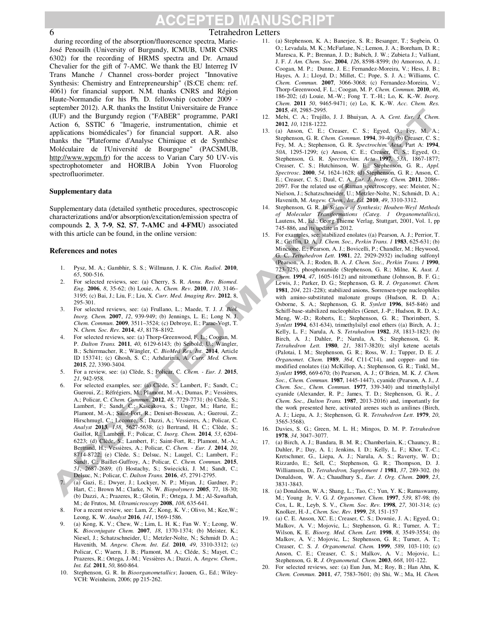#### CCEPTED M/ **NUSCRIPT**

#### 6 Tetrahedron Letters

during recording of the absorption/fluorescence spectra, Marie-José Penouilh (University of Burgundy, ICMUB, UMR CNRS 6302) for the recording of HRMS spectra and Dr. Arnaud Chevalier for the gift of 7-AMC. We thank the EU Interreg IV Trans Manche / Channel cross-border project "Innovative Synthesis: Chemistry and Entrepreneurship" (IS:CE chem: ref. 4061) for financial support. N.M. thanks CNRS and Région Haute-Normandie for his Ph. D. fellowship (october 2009 september 2012). A.R. thanks the Institut Universitaire de France (IUF) and the Burgundy region ("FABER" programme, PARI Action 6, SSTIC 6 "Imagerie, instrumentation, chimie et applications biomédicales") for financial support. A.R. also thanks the "Plateforme d'Analyse Chimique et de Synthèse Moléculaire de l'Université de Bourgogne" (PACSMUB, http://www.wpcm.fr) for the access to Varian Cary 50 UV-vis spectrophotometer and HORIBA Jobin Yvon Fluorolog spectrofluorimeter.

#### **Supplementary data**

Supplementary data (detailed synthetic procedures, spectroscopic characterizations and/or absorption/excitation/emission spectra of compounds **2**, **3**, **7-9**, **S2**, **S7**, **7-AMC** and **4-FMU**) associated with this article can be found, in the online version:

#### **References and notes**

- 1. Pysz, M. A.; Gambhir, S. S.; Willmann, J. K. *Clin. Radiol.* **2010**, *65*, 500-516.
- 2. For selected reviews, see: (a) Cherry, S. R. *Annu. Rev. Biomed. Eng.* **2006**, *8*, 35-62; (b) Louie, A. *Chem. Rev*. **2010**, *110*, 3146– 3195; (c) Bai, J.; Liu, F.; Liu, X. *Curr. Med. Imaging Rev.* **2012**, 8, 295-301.
- 3. For selected reviews, see: (a) Frullano, L.; Maede, T. J. *J. Biol. Inorg. Chem.* **2007**, *12*, 939-949; (b) Jennings, L. E.; Long N. J. *Chem. Commun*. **2009**, 3511–3524; (c) Debroye, E.; Parac-Vogt, T. N. *Chem. Soc. Rev.* **2014**, *43*, 8178–8192.
- 4. For selected reviews, see: (a) Thorp-Greenwood, F. L.; Coogan, M. P. *Dalton Trans.* **2011**, *40*, 6129-6143; (b) Seibold, U.; Wängler, B.; Schirrmacher, R.; Wängler, C. *BioMed Res. Int.* **2014**, Article ID 153741; (c) Ghosh, S. C.; Azhdarinia, A. *Curr. Med. Chem.* **2015**, *22*, 3390-3404.
- 5. For a review, see: (a) Clède, S.; Policar, C. *Chem. Eur. J.* **2015**, *21*, 942-958.
- 6. For selected examples, see: (a) Clède, S.; Lambert, F.; Sandt, C.; Gueroui, Z.; Réfrégiers, M.; Plamont, M.-A.; Dumas, P.; Vessières, A.; Policar, C. *Chem. Commun.* **2012**, *48*, 7729-7731; (b) Clède, S.; Lambert, F.; Sandt, C.; Kascakova, S.; Unger, M.; Harte, E.; Plamont, M.-A.; Saint-Fort, R.; Deniset-Besseau, A.; Gueroui, Z.; Hirschmugl, C.; Lecomte, S.; Dazzi, A.; Vessieres, A.; Policar, C. *Analyst* **2013**, *138*, 5627-5638; (c) Bertrand, H. C.; Clède, S.; Guillot, R.; Lambert, F.; Policar, C. *Inorg. Chem.* **2014**, *53*, 6204- 6223; (d) Clède, S.; Lambert, F.; Saint-Fort, R.; Plamont, M.-A.; Bertrand, H.; Vessières, A.; Policar, C. *Chem. - Eur. J.* **2014**, *20*, 8714-8722; (e) Clède, S.; Delsuc, N.; Laugel, C.; Lambert, F.; Sandt, C.; Baillet-Guffroy, A.; Policar, C. *Chem. Commun.* **2015**, *51*, 2687-2689; (f) Hostachy, S.; Swiecicki, J. M.; Sandt, C.; Delsuc, N.; Policar, C. *Dalton Trans.* **2016**, *45*, 2791-2795.
- 7. (a) Gazi, E.; Dwyer, J.; Lockyer, N. P.; Miyan, J.; Gardner, P.; Hart, C.; Brown M.; Clarke, N. W. *Biopolymers* **2005**, 77, 18-30; (b) Dazzi, A.; Prazeres, R.; Glotin, F.; Ortega, J. M.; Al-Sawaftah, M.; de Frutos, M. *Ultramicroscopy* **2008**, *108*, 635-641.
- 8. For a recent review, see: Lam, Z.; Kong, K. V.; Olivo, M.; Kee,W.; Leong, K. W. *Analyst* **2016**, *141*, 1569-1586.
- 9. (a) Kong, K. V.; Chew, W.; Lim, L. H. K.; Fan W. Y.; Leong, W. K. *Bioconjugate Chem.* **2007**, *18*, 1370-1374; (b) Meister, K.; Niesel, J.; Schatzschneider, U.; Metzler-Nolte, N.; Schmidt D. A.; Havenith, M. *Angew. Chem. Int. Ed*. **2010**, *49*, 3310-3312; (c) Policar, C.; Waern, J. B.; Plamont, M. A.; Cléde, S.; Mayet, C.; Prazeres, R.; Ortega, J.-M.; Vessières A.; Dazzi, A. *Angew. Chem., Int. Ed.* **2011**, *50*, 860-864.
- 10. Stephenson, G. R. In *Bioorganometallics*; Jaouen, G., Ed.; Wiley-VCH: Weinheim, 2006; pp 215-262.
- 11. (a) Stephenson, K. A.; Banerjee, S. R.; Besanger, T.; Sogbein, O. O.; Levadala, M. K.; McFarlane, N.; Lemon, J. A.; Boreham, D. R.; Maresca, K. P.; Brennan, J. D.; Babich, J. W.; Zubieta J.; Valliant, J. F. *J. Am. Chem. Soc*. **2004**, *126*, 8598-8599; (b) Amoroso, A. J.; Coogan, M. P.; Dunne, J. E.; Fernandez-Moreira, V.; Hess, J. B.; Hayes, A. J.; Lloyd, D.; Millet, C.; Pope, S. J. A.; Williams, C. *Chem. Commun.* **2007**, 3066-3068; (c) Fernandez-Moreira, V.; Thorp-Greenwood, F. L.; Coogan, M. P. *Chem. Commun.* **2010**, *46*, 186-202; (d) Louie, M.-W.; Fong T. T.-H.; Lo, K. K.-W. *Inorg. Chem*. **2011** *50*, 9465-9471; (e) Lo, K. K.-W. *Acc. Chem. Res.* **2015**, *48*, 2985-2995.
- 12. Mebi, C. A.; Trujillo, J. J. Bhuiyan, A. A. *Cent. Eur. J. Chem*. **2012**, *10*, 1218-1222.
- 13. (a) Anson, C. E.; Creaser, C. S.; Egyed, O.; Fey, M. A.; Stephenson, G. R. *Chem. Commun.* **1994**, 39-40; (b) Creaser, C. S.; Fey, M. A.; Stephenson, G. R. *Spectrochim. Acta*, Part A: **1994**, *50A*, 1295-1299; (c) Anson, C. E.; Creaser, C. S.; Egyed, O.; Stephenson, G. R. *Spectrochim. Acta* **1997**, *53A*, 1867-1877; Creaser, C. S.; Hutchinson, W. E.; Stephenson, G. R., *Appl. Spectrosc*. **2000**, *54*, 1624-1628; (d) Stephenson, G. R.; Anson, C. E.; Creaser, C. S.; Daul, C. A. *Eur. J. Inorg. Chem.* **2011**, 2086– 2097. For the related use of Raman spectroscopy, see: Meister, N.; Nielson, J.; Schatzschneider, U.; Metzler-Nolte, N.; Schmidt, D. A.; Havenith, M. *Angew. Chem., Int. Ed.* **2010**, *49*, 3310-3312.
- 14. Stephenson, G. R. In *Science of Synthesis; Houben-Weyl Methods of Molecular Transformations (Categ. 1 Organometallics)*, Lautens, M., Ed.; Georg Thieme Verlag, Stuttgart, 2001, Vol. 1, pp 745-886, and its update in 2012.
- 15. For examples, see: stabilized enolates ((a) Pearson, A. J.; Perrior, T. R.; Griffin, D. A, *J. Chem. Soc., Perkin Trans. 1* **1983**, 625-631; (b) Mincione, E.; Pearson, A. J.; Bovicelli, P.; Chandler, M.; Heywood, G. C. *Tetrahedron Lett.* **1981**, *22*, 2929-2932) including sulfonyl (Pearson, A. J.; Roden, B. A. *J. Chem. Soc., Perkin Trans. 1* **1990**, 723-725), phosphoramide (Stephenson, G. R.; Milne, K. *Aust. J. Chem.* **1994**, *47*, 1605-1612) and nitromethane (Johnson, B. F. G.; Lewis, J.; Parker, D. G.; Stephenson, G. R. *J. Organomet. Chem.* **1981**, *204*, 221-228); stabilized anions, Sorrensen-type nucleophiles with amino-substituted malonate groups (Hudson, R. D. A.; Osborne, S. A.; Stephenson, G. R. *Synlett* **1996**, 845-846) and Schiff-base-stabilized nucleophiles (Genet, J.-P.; Hudson, R. D. A.; Meng, W.-D.; Roberts, E.; Stephenson, G. R.; Thorimbert, S. *Synlett* **1994**, 631-634), trimethylsilyl enol ethers ((a) Birch, A. J.; Kelly, L. F.; Narula, A. S. *Tetrahedron* **1982**, *38*, 1813-1823; (b) Birch, A. J.; Dahler, P.; Narula, A. S.; Stephenson, G. R. *Tetrahedron Lett.* **1980**, *21*, 3817-3820); silyl ketene acetals (Palotai, I. M.; Stephenson, G. R.; Ross, W. J.; Tupper, D. E. *J. Organomet. Chem.* **1989**, *364*, C11-C14), and copper- and tinmodified enolates ((a) McKillop, A.; Stephenson, G. R.; Tinkl, M., *Synlett* **1995**, 669-670; (b) Pearson, A. J.; O'Brien, M. K. *J. Chem. Soc., Chem. Commun.* **1987**, 1445-1447), cyanide (Pearson, A. J., *J. Chem. Soc., Chem. Commun.* **1977**, 339-340) and trimethylsilyl cyanide (Alexander, R. P.; James, T. D.; Stephenson, G. R., *J. Chem. Soc., Dalton Trans.* **1987**, 2013-2016) and, importantly for the work presented here, activated arenes such as anilines (Birch, A. J.; Liepa, A. J.; Stephenson, G. R. *Tetrahedron Lett.* **1979**, *20*, 3565-3568).
- 16. Davies, S. G.; Green, M. L. H.; Mingos, D. M. P. *Tetrahedron* **1978**, *34*, 3047–3077.
- 17. (a) Birch, A. J.; Bandara, B. M. R.; Chamberlain, K.; Chauncy, B.; Dahler, P.; Day, A. I.; Jenkins, I. D.; Kelly, L. F.; Khor, T.-C.; Kretschmer, G., Liepa, A. J.; Narula, A. S.; Raverty, W. D.; Rizzardo, E.; Sell, C.; Stephenson, G. R.; Thompson, D. J. Williamson, D., *Tetrahedron, Supplement 1* **1981**, *37*, 289-302. (b) Donaldson, W. A.; Chaudhury S., *Eur. J. Org. Chem*. **2009**, *23*, 3831-3843.
- 18. (a) Donaldson, W.A.; Shang, L.; Tao, C.; Yun, Y. K.; Ramaswamy, M.; Young Jr, V. G. *J. Organomet. Chem.* **1997**, *539*, 87-98; (b) Cox, L. R., Leyb, S. V., *Chem. Soc. Rev*. **1998**, *27*, 301-314; (c) Knolker, H.-J., *Chem. Soc. Rev*. **1999**, *28*, 151-157
- 19. (a) C. E. Anson, XC. E.; Creaser, C. S.; Downie, J. A.; Egyed, O.; Malkov, A. V.; Mojovic, L.; Stephenson, G. R.; Turner, A. T.; Wilson, K. E. *Bioorg. Med. Chem. Lett.* **1998**, *8*, 3549-3554; (b) Malkov, A. V.; Mojovic, L.; Stephenson, G. R.; Turner, A. T.; Creaser, C. S. *J. Organometal. Chem.* **1999**, *589*, 103-110; (c) Anson, C. E.; Creaser, C. S.; Malkov, A. V.; Mojovic, L.; Stephenson, G. R. *J. Organometal. Chem.* **2003**, *668*, 101-122.
- 20. For selected reviews, see: (a) Eun Jun, M.; Roy, B.; Han Ahn, K. *Chem. Commun.* **2011**, *47*, 7583-7601; (b) Shi, W.; Ma, H. *Chem.*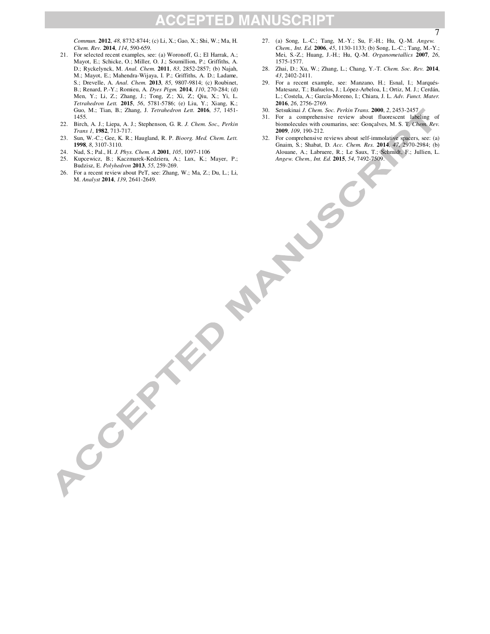### **ACCEPTED MANUSCRIPT**

*Commun.* **2012**, *48*, 8732-8744; (c) Li, X.; Gao, X.; Shi, W.; Ma, H. *Chem. Rev.* **2014**, *114*, 590-659.

- 21. For selected recent examples, see: (a) Woronoff, G.; El Harrak, A.; Mayot, E.; Schicke, O.; Miller, O. J.; Soumillion, P.; Griffiths, A. D.; Ryckelynck, M. *Anal. Chem.* **2011**, *83*, 2852-2857; (b) Najah, M.; Mayot, E.; Mahendra-Wijaya, I. P.; Griffiths, A. D.; Ladame, S.; Drevelle, A. *Anal. Chem.* **2013**, *85*, 9807-9814; (c) Roubinet, B.; Renard, P.-Y.; Romieu, A. *Dyes Pigm.* **2014**, *110*, 270-284; (d) Men, Y.; Li, Z.; Zhang, J.; Tong, Z.; Xi, Z.; Qiu, X.; Yi, L. *Tetrahedron Lett.* **2015**, *56*, 5781-5786; (e) Liu, Y.; Xiang, K.; Guo, M.; Tian, B.; Zhang, J. *Tetrahedron Lett.* **2016**, *57*, 1451- 1455.
- 22. Birch, A. J.; Liepa, A. J.; Stephenson, G. R. *J. Chem. Soc., Perkin Trans 1*, **1982**, 713-717.
- 23. Sun, W.-C.; Gee, K. R.; Haugland, R. P. *Bioorg. Med. Chem. Lett.* **1998**, *8*, 3107-3110.
- 24. Nad, S.; Pal., H. *J. Phys. Chem. A* **2001**, *105*, 1097-1106
- 25. Kupcewicz, B.; Kaczmarek-Kedziera, A.; Lux, K.; Mayer, P.; Angel, Chem, Int. Ed. 2015, 54, Buddzie, E. Polyhedron 2013, 55, 259-269.<br>
26. For a recent review about PeT, see: Zhang, W.; Ma, Z.; Du, L.; Li, M., *Magew. C* Budzisz, E. *Polyhedron* **2013**, *55*, 259-269.
- 26. For a recent review about PeT, see: Zhang, W.; Ma, Z.; Du, L.; Li, M. *Analyst* **2014**, *139*, 2641-2649.

ACCEPTED

- 27. (a) Song, L.-C.; Tang, M.-Y.; Su, F.-H.; Hu, Q.-M. *Angew. Chem., Int. Ed.* **2006**, *45*, 1130-1133; (b) Song, L.-C.; Tang, M.-Y.; Mei, S.-Z.; Huang, J.-H.; Hu, Q.-M. *Organometallics* **2007**, *26*, 1575-1577.
- 28. Zhai, D.; Xu, W.; Zhang, L.; Chang, Y.-T. *Chem. Soc. Rev.* **2014**, *43*, 2402-2411.
- 29. For a recent example, see: Manzano, H.; Esnal, I.; Marqués-Matesanz, T.; Bañuelos, J.; López-Arbeloa, I.; Ortiz, M. J.; Cerdán, L.; Costela, A.; García-Moreno, I.; Chiara, J. L. *Adv. Funct. Mater.* **2016**, *26*, 2756-2769.
- 30. Setsukinai *J. Chem. Soc. Perkin Trans.* **2000**, *2*, 2453-2457
- 31. For a comprehensive review about fluorescent labeling of biomolecules with coumarins, see: Gonçalves, M. S. T. *Chem. Rev.* **2009**, *109*, 190-212.
- 32. For comprehensive reviews about self-immolative spacers, see: (a) Gnaim, S.; Shabat, D. *Acc. Chem. Res.* **2014**, *47*, 2970-2984; (b) Alouane, A.; Labruere, R.; Le Saux, T.; Schmidt, F.; Jullien, L. *Angew. Chem., Int. Ed.* **2015**, *54*, 7492-7509.

7